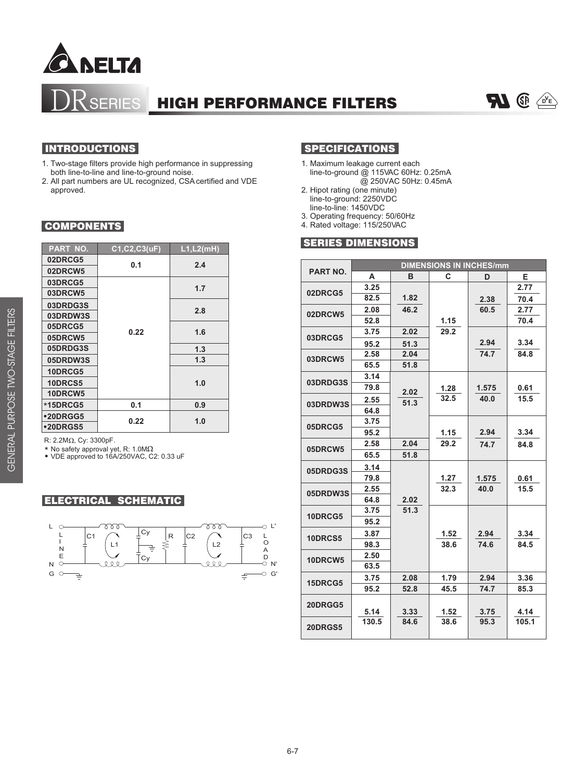

# SERIES HIGH PERFORMANCE FILTERS



- 1. Two-stage filters provide high performance in suppressing both line-to-line and line-to-ground noise.
- 2. All part numbers are UL recognized, CSA certified and VDE approved.

## **COMPONENTS**

| <b>PART NO.</b> | C1, C2, C3(uF) | L1, L2(mH) |
|-----------------|----------------|------------|
| 02DRCG5         | 0.1            | 2.4        |
| 02DRCW5         |                |            |
| 03DRCG5         | 0.22           |            |
| 03DRCW5         |                | 1.7        |
| 03DRDG3S        |                |            |
| 03DRDW3S        |                | 2.8        |
| 05DRCG5         |                | 1.6        |
| 05DRCW5         |                |            |
| 05DRDG3S        |                | 1.3        |
| 05DRDW3S        |                | 1.3        |
| 10DRCG5         |                |            |
| <b>10DRCS5</b>  |                | 1.0        |
| 10DRCW5         |                |            |
| *15DRCG5        | 0.1            | 0.9        |
| •20DRGG5        | 0.22           | 1.0        |
| •20DRGS5        |                |            |

R:  $2.2M<sub>\Omega</sub>$ , Cy: 3300pF.

\* No safety approval yet, R: 1.0MΩ<br>● VDE approved to 16A/250VAC, C2: 0.33 uF

#### ELECTRICAL SCHEMATIC



# INTRODUCTIONS SPECIFICATIONS

- 1. Maximum leakage current each line-to-ground @ 115VAC 60Hz: 0.25mA @ 250VAC 50Hz: 0.45mA
- 2. Hipot rating (one minute) line-to-ground: 2250VDC
- line-to-line: 1450VDC 3. Operating frequency: 50/60Hz
- 4. Rated voltage: 115/250VAC

### SERIES DIMENSIONS

| <b>PART NO.</b> | <b>DIMENSIONS IN INCHES/mm</b> |      |      |       |       |  |  |  |  |
|-----------------|--------------------------------|------|------|-------|-------|--|--|--|--|
|                 | A                              | R    | C    | D     | Е     |  |  |  |  |
| 02DRCG5         | 3.25                           |      |      |       | 2.77  |  |  |  |  |
|                 | 82.5                           | 1.82 |      | 2.38  | 70.4  |  |  |  |  |
| 02DRCW5         | 2.08                           | 46.2 |      | 60.5  | 2.77  |  |  |  |  |
|                 | 52.8                           |      | 1.15 |       | 70.4  |  |  |  |  |
| 03DRCG5         | 3.75                           | 2.02 | 29.2 |       |       |  |  |  |  |
|                 | 95.2                           | 51.3 |      | 2.94  | 3.34  |  |  |  |  |
| 03DRCW5         | 2.58                           | 2.04 |      | 74.7  | 84.8  |  |  |  |  |
|                 | 65.5                           | 51.8 |      |       |       |  |  |  |  |
|                 | 3.14                           |      |      |       |       |  |  |  |  |
| 03DRDG3S        | 79.8                           | 2.02 | 1.28 | 1.575 | 0.61  |  |  |  |  |
| 03DRDW3S        | 2.55                           | 51.3 | 32.5 | 40.0  | 15.5  |  |  |  |  |
|                 | 64.8                           |      |      |       |       |  |  |  |  |
| 05DRCG5         | 3.75                           |      |      |       |       |  |  |  |  |
|                 | 95.2                           |      | 1.15 | 2.94  | 3.34  |  |  |  |  |
|                 | 2.58                           | 2.04 | 29.2 | 74.7  | 84.8  |  |  |  |  |
| 05DRCW5         | 65.5                           | 51.8 |      |       |       |  |  |  |  |
| 05DRDG3S        | 3.14                           |      |      |       |       |  |  |  |  |
|                 | 79.8                           |      | 1.27 | 1.575 | 0.61  |  |  |  |  |
| 05DRDW3S        | 2.55                           |      | 32.3 | 40.0  | 15.5  |  |  |  |  |
|                 | 64.8                           | 2.02 |      |       |       |  |  |  |  |
| 10DRCG5         | 3.75                           | 51.3 |      |       |       |  |  |  |  |
|                 | 95.2                           |      |      |       |       |  |  |  |  |
| 10DRCS5         | 3.87                           |      | 1.52 | 2.94  | 3.34  |  |  |  |  |
|                 | 98.3                           |      | 38.6 | 74.6  | 84.5  |  |  |  |  |
| 10DRCW5         | 2.50                           |      |      |       |       |  |  |  |  |
|                 | 63.5                           |      |      |       |       |  |  |  |  |
| 15DRCG5         | 3.75                           | 2.08 | 1.79 | 2.94  | 3.36  |  |  |  |  |
|                 | 95.2                           | 52.8 | 45.5 | 74.7  | 85.3  |  |  |  |  |
| 20DRGG5         |                                |      |      |       |       |  |  |  |  |
|                 | 5.14                           | 3.33 | 1.52 | 3.75  | 4.14  |  |  |  |  |
| 20DRGS5         | 130.5                          | 84.6 | 38.6 | 95.3  | 105.1 |  |  |  |  |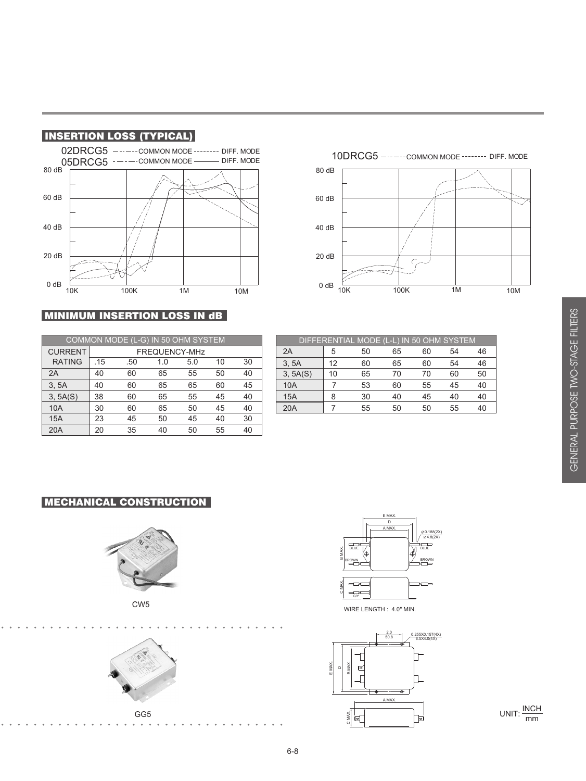

# **MINIMUM INSERTION LOSS IN dB**

|                |               | COMMON MODE (L-G) IN 50 OHM SYSTEM |     |     |    |    |          |    |    |    |    | DIFFERENTIAL MODE (L-L) IN 50 OHM SYSTEM |
|----------------|---------------|------------------------------------|-----|-----|----|----|----------|----|----|----|----|------------------------------------------|
| <b>CURRENT</b> | FREQUENCY-MHz |                                    |     |     |    |    | 2A       | 5  | 50 | 65 | 60 | 54                                       |
| <b>RATING</b>  | .15           | .50                                | 1.0 | 5.0 | 10 | 30 | 3.5A     | 12 | 60 | 65 | 60 | 54                                       |
| 2A             | 40            | 60                                 | 65  | 55  | 50 | 40 | 3, 5A(S) | 10 | 65 | 70 | 70 | 60                                       |
| 3.5A           | 40            | 60                                 | 65  | 65  | 60 | 45 | 10A      |    | 53 | 60 | 55 | 45                                       |
| 3, 5A(S)       | 38            | 60                                 | 65  | 55  | 45 | 40 | 15A      | 8  | 30 | 40 | 45 | 40                                       |
| 10A            | 30            | 60                                 | 65  | 50  | 45 | 40 | 20A      |    | 55 | 50 | 50 | 55                                       |
| 15A            | 23            | 45                                 | 50  | 45  | 40 | 30 |          |    |    |    |    |                                          |
| 20A            | 20            | 35                                 | 40  | 50  | 55 | 40 |          |    |    |    |    |                                          |

| DIFFERENTIAL MODE (L-L) IN 50 OHM SYSTEM |    |    |    |    |    |    |  |  |  |
|------------------------------------------|----|----|----|----|----|----|--|--|--|
| 2A                                       | 5  | 50 | 65 | 60 | 54 | 46 |  |  |  |
| 3, 5A                                    | 12 | 60 | 65 | 60 | 54 | 46 |  |  |  |
| 3, 5A(S)                                 | 10 | 65 | 70 | 70 | 60 | 50 |  |  |  |
| <b>10A</b>                               |    | 53 | 60 | 55 | 45 | 40 |  |  |  |
| 15A                                      | 8  | 30 | 40 | 45 | 40 | 40 |  |  |  |
| 20A                                      |    | 55 | 50 | 50 | 55 | 40 |  |  |  |

10DRCG5 ------ COMMON MODE ------- DIFF. MODE

10K 100K 1M 10M

40 dB

20 dB

0 dB  $\frac{E}{10K}$ 

80 dB

60 dB

# MECHANICAL CONSTRUCTION









WIRE LENGTH : 4.0" MIN.



UNIT:  $\frac{\text{INCH}}{\text{mm}}$